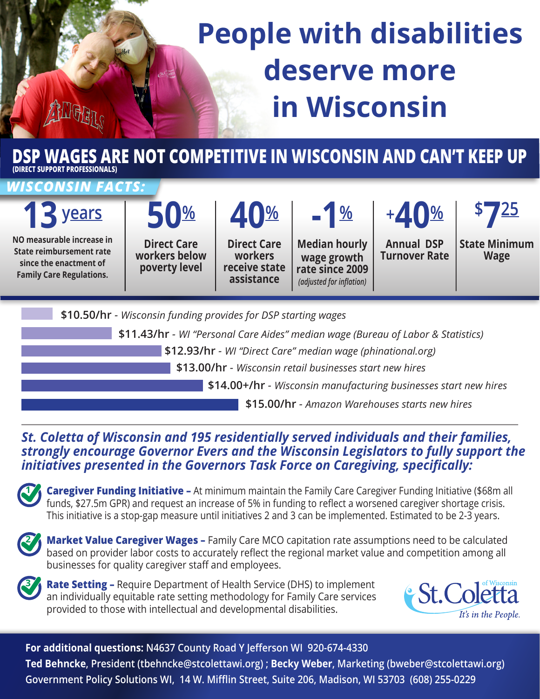## **People with disabilities deserve more in Wisconsin**

**DSP WAGES ARE NOT COMPETITIVE IN WISCONSIN AND CAN'T KEEP UP (DIRECT SUPPORT PROFESSIONALS)**

## *WISCONSIN FACTS:*

## **13 years**

**NO measurable increase in State reimbursement rate since the enactment of Family Care Regulations.**

**Direct Care workers below poverty level**

**50%**

**Direct Care workers receive state assistance**

**40%**

**-1% Median hourly wage growth rate since 2009** *(adjusted for inflation)*

**<sup>+</sup>40% Annual DSP Turnover Rate** 

**7<sup>25</sup> State Minimum** 

**\$**

**Wage**

**\$10.50/hr** *- Wisconsin funding provides for DSP starting wages*

 **\$11.43/hr** *- WI "Personal Care Aides" median wage (Bureau of Labor & Statistics)*

 **\$12.93/hr** *- WI "Direct Care" median wage (phinational.org)*

 **\$13.00/hr** *- Wisconsin retail businesses start new hires*

 **\$14.00+/hr** *- Wisconsin manufacturing businesses start new hires*

 **\$15.00/hr** *- Amazon Warehouses starts new hires*

## *St. Coletta of Wisconsin and 195 residentially served individuals and their families, strongly encourage Governor Evers and the Wisconsin Legislators to fully support the initiatives presented in the Governors Task Force on Caregiving, specifically:*



**Caregiver Funding Initiative –** At minimum maintain the Family Care Caregiver Funding Initiative (\$68m all funds, \$27.5m GPR) and request an increase of 5% in funding to reflect a worsened caregiver shortage crisis. This initiative is a stop-gap measure until initiatives 2 and 3 can be implemented. Estimated to be 2-3 years.



**Market Value Caregiver Wages –** Family Care MCO capitation rate assumptions need to be calculated based on provider labor costs to accurately reflect the regional market value and competition among all businesses for quality caregiver staff and employees.



**Rate Setting –** Require Department of Health Service (DHS) to implement an individually equitable rate setting methodology for Family Care services provided to those with intellectual and developmental disabilities.



**For additional questions: N4637 County Road Y Jefferson WI 920-674-4330 Ted Behncke, President (tbehncke@stcolettawi.org) ; Becky Weber, Marketing (bweber@stcolettawi.org) Government Policy Solutions WI, 14 W. Mifflin Street, Suite 206, Madison, WI 53703 (608) 255-0229**